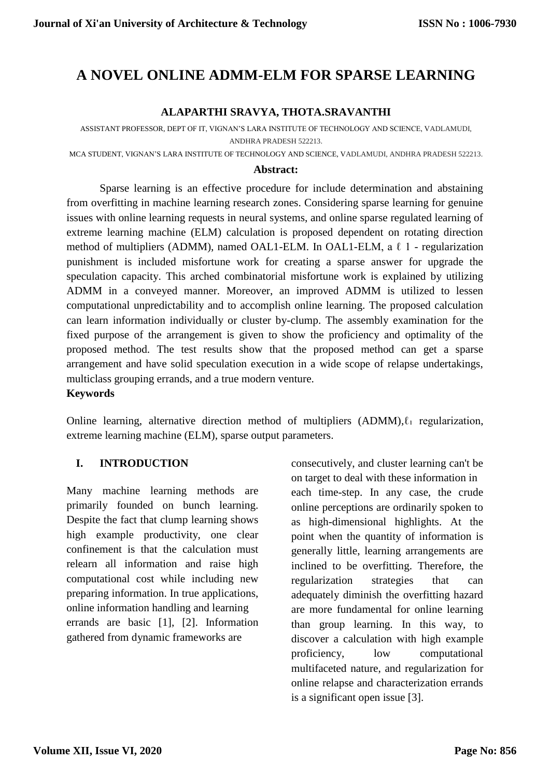# **A NOVEL ONLINE ADMM-ELM FOR SPARSE LEARNING**

#### **ALAPARTHI SRAVYA, THOTA.SRAVANTHI**

ASSISTANT PROFESSOR, DEPT OF IT, VIGNAN'S LARA INSTITUTE OF TECHNOLOGY AND SCIENCE, VADLAMUDI, ANDHRA PRADESH 522213.

MCA STUDENT, VIGNAN'S LARA INSTITUTE OF TECHNOLOGY AND SCIENCE, VADLAMUDI, ANDHRA PRADESH 522213.

#### **Abstract:**

Sparse learning is an effective procedure for include determination and abstaining from overfitting in machine learning research zones. Considering sparse learning for genuine issues with online learning requests in neural systems, and online sparse regulated learning of extreme learning machine (ELM) calculation is proposed dependent on rotating direction method of multipliers (ADMM), named OAL1-ELM. In OAL1-ELM, a ℓ 1 - regularization punishment is included misfortune work for creating a sparse answer for upgrade the speculation capacity. This arched combinatorial misfortune work is explained by utilizing ADMM in a conveyed manner. Moreover, an improved ADMM is utilized to lessen computational unpredictability and to accomplish online learning. The proposed calculation can learn information individually or cluster by-clump. The assembly examination for the fixed purpose of the arrangement is given to show the proficiency and optimality of the proposed method. The test results show that the proposed method can get a sparse arrangement and have solid speculation execution in a wide scope of relapse undertakings, multiclass grouping errands, and a true modern venture.

#### **Keywords**

[Online learning,](https://ieeexplore.ieee.org/search/searchresult.jsp?matchBoolean=true&queryText=%22Index%20Terms%22:Online%20learning&newsearch=true) alternative direction method of multipliers  $(ADMM)$ , $\ell_1$  regularization, [extreme learning machine \(ELM\),](https://ieeexplore.ieee.org/search/searchresult.jsp?matchBoolean=true&queryText=%22Index%20Terms%22:extreme%20learning%20machine%20.LB.ELM.RB.&newsearch=true) [sparse output parameters.](https://ieeexplore.ieee.org/search/searchresult.jsp?matchBoolean=true&queryText=%22Index%20Terms%22:sparse%20output%20parameters&newsearch=true)

#### **I. INTRODUCTION**

Many machine learning methods are primarily founded on bunch learning. Despite the fact that clump learning shows high example productivity, one clear confinement is that the calculation must relearn all information and raise high computational cost while including new preparing information. In true applications, online information handling and learning errands are basic [1], [2]. Information gathered from dynamic frameworks are

consecutively, and cluster learning can't be on target to deal with these information in each time-step. In any case, the crude online perceptions are ordinarily spoken to as high-dimensional highlights. At the point when the quantity of information is generally little, learning arrangements are inclined to be overfitting. Therefore, the regularization strategies that can adequately diminish the overfitting hazard are more fundamental for online learning than group learning. In this way, to discover a calculation with high example proficiency, low computational multifaceted nature, and regularization for online relapse and characterization errands is a significant open issue [3].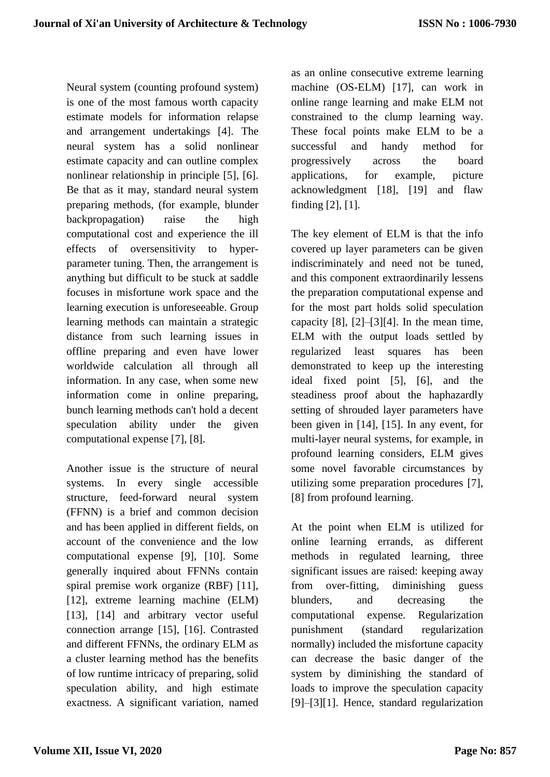Neural system (counting profound system) is one of the most famous worth capacity estimate models for information relapse and arrangement undertakings [4]. The neural system has a solid nonlinear estimate capacity and can outline complex nonlinear relationship in principle [5], [6]. Be that as it may, standard neural system preparing methods, (for example, blunder backpropagation) raise the high computational cost and experience the ill effects of oversensitivity to hyperparameter tuning. Then, the arrangement is anything but difficult to be stuck at saddle focuses in misfortune work space and the learning execution is unforeseeable. Group learning methods can maintain a strategic distance from such learning issues in offline preparing and even have lower worldwide calculation all through all information. In any case, when some new information come in online preparing, bunch learning methods can't hold a decent speculation ability under the given computational expense [7], [8].

Another issue is the structure of neural systems. In every single accessible structure, feed-forward neural system (FFNN) is a brief and common decision and has been applied in different fields, on account of the convenience and the low computational expense [9], [10]. Some generally inquired about FFNNs contain spiral premise work organize (RBF) [11], [12], extreme learning machine (ELM) [13], [14] and arbitrary vector useful connection arrange [15], [16]. Contrasted and different FFNNs, the ordinary ELM as a cluster learning method has the benefits of low runtime intricacy of preparing, solid speculation ability, and high estimate exactness. A significant variation, named

as an online consecutive extreme learning machine (OS-ELM) [17], can work in online range learning and make ELM not constrained to the clump learning way. These focal points make ELM to be a successful and handy method for progressively across the board applications, for example, picture acknowledgment [18], [19] and flaw finding [2], [1].

The key element of ELM is that the info covered up layer parameters can be given indiscriminately and need not be tuned, and this component extraordinarily lessens the preparation computational expense and for the most part holds solid speculation capacity  $[8]$ ,  $[2]$ – $[3]$  $[4]$ . In the mean time, ELM with the output loads settled by regularized least squares has been demonstrated to keep up the interesting ideal fixed point [5], [6], and the steadiness proof about the haphazardly setting of shrouded layer parameters have been given in [14], [15]. In any event, for multi-layer neural systems, for example, in profound learning considers, ELM gives some novel favorable circumstances by utilizing some preparation procedures [7], [8] from profound learning.

At the point when ELM is utilized for online learning errands, as different methods in regulated learning, three significant issues are raised: keeping away from over-fitting, diminishing guess blunders, and decreasing the computational expense. Regularization punishment (standard regularization normally) included the misfortune capacity can decrease the basic danger of the system by diminishing the standard of loads to improve the speculation capacity [9]–[3][1]. Hence, standard regularization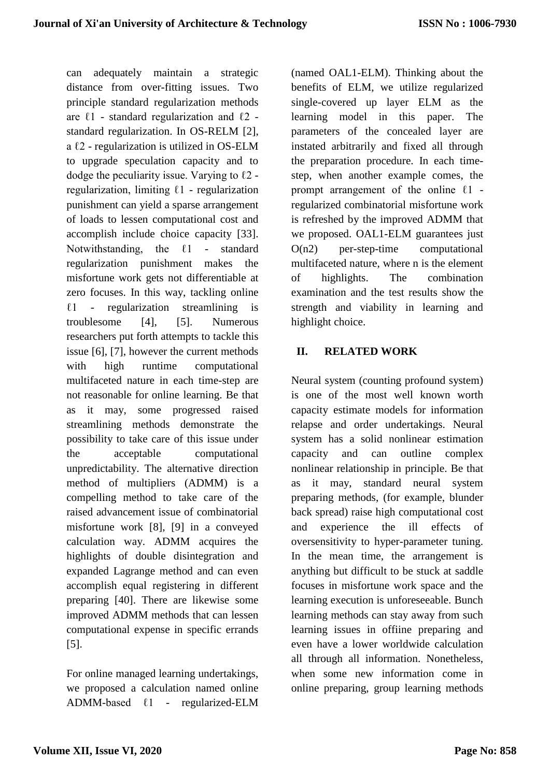can adequately maintain a strategic distance from over-fitting issues. Two principle standard regularization methods are  $\ell$ 1 - standard regularization and  $\ell$ 2 standard regularization. In OS-RELM [2], a  $\ell$ 2 - regularization is utilized in OS-ELM to upgrade speculation capacity and to dodge the peculiarity issue. Varying to  $\ell$ 2 regularization, limiting  $\ell$ 1 - regularization punishment can yield a sparse arrangement of loads to lessen computational cost and accomplish include choice capacity [33]. Notwithstanding, the  $\ell$ 1 - standard regularization punishment makes the misfortune work gets not differentiable at zero focuses. In this way, tackling online  $\ell$ 1 - regularization streamlining is troublesome [4], [5]. Numerous researchers put forth attempts to tackle this issue [6], [7], however the current methods with high runtime computational multifaceted nature in each time-step are not reasonable for online learning. Be that as it may, some progressed raised streamlining methods demonstrate the possibility to take care of this issue under the acceptable computational unpredictability. The alternative direction method of multipliers (ADMM) is a compelling method to take care of the raised advancement issue of combinatorial misfortune work [8], [9] in a conveyed calculation way. ADMM acquires the highlights of double disintegration and expanded Lagrange method and can even accomplish equal registering in different preparing [40]. There are likewise some improved ADMM methods that can lessen computational expense in specific errands [5].

For online managed learning undertakings, we proposed a calculation named online ADMM-based ℓ1 - regularized-ELM

(named OAL1-ELM). Thinking about the benefits of ELM, we utilize regularized single-covered up layer ELM as the learning model in this paper. The parameters of the concealed layer are instated arbitrarily and fixed all through the preparation procedure. In each timestep, when another example comes, the prompt arrangement of the online  $l1$  regularized combinatorial misfortune work is refreshed by the improved ADMM that we proposed. OAL1-ELM guarantees just O(n2) per-step-time computational multifaceted nature, where n is the element of highlights. The combination examination and the test results show the strength and viability in learning and highlight choice.

### **II. RELATED WORK**

Neural system (counting profound system) is one of the most well known worth capacity estimate models for information relapse and order undertakings. Neural system has a solid nonlinear estimation capacity and can outline complex nonlinear relationship in principle. Be that as it may, standard neural system preparing methods, (for example, blunder back spread) raise high computational cost and experience the ill effects of oversensitivity to hyper-parameter tuning. In the mean time, the arrangement is anything but difficult to be stuck at saddle focuses in misfortune work space and the learning execution is unforeseeable. Bunch learning methods can stay away from such learning issues in offiine preparing and even have a lower worldwide calculation all through all information. Nonetheless, when some new information come in online preparing, group learning methods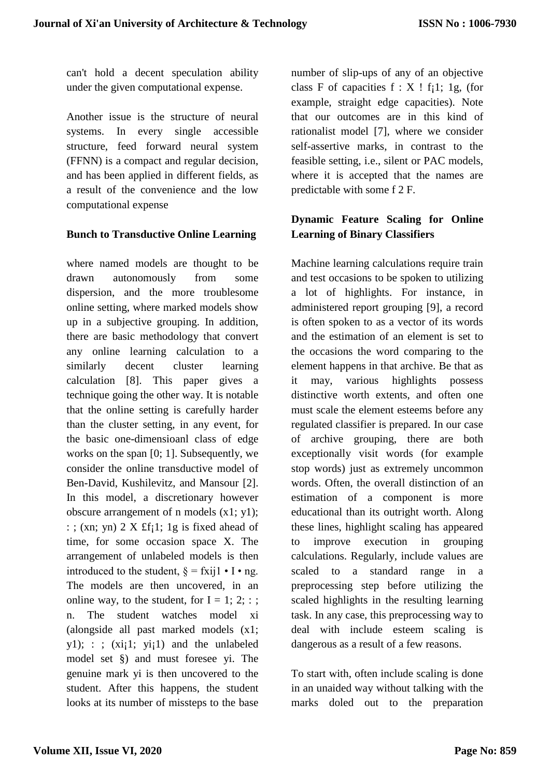can't hold a decent speculation ability under the given computational expense.

Another issue is the structure of neural systems. In every single accessible structure, feed forward neural system (FFNN) is a compact and regular decision, and has been applied in different fields, as a result of the convenience and the low computational expense

#### **Bunch to Transductive Online Learning**

where named models are thought to be drawn autonomously from some dispersion, and the more troublesome online setting, where marked models show up in a subjective grouping. In addition, there are basic methodology that convert any online learning calculation to a similarly decent cluster learning calculation [8]. This paper gives a technique going the other way. It is notable that the online setting is carefully harder than the cluster setting, in any event, for the basic one-dimensioanl class of edge works on the span [0; 1]. Subsequently, we consider the online transductive model of Ben-David, Kushilevitz, and Mansour [2]. In this model, a discretionary however obscure arrangement of n models (x1; y1); : ; (xn; yn)  $2 \times f_i$  : 1g is fixed ahead of time, for some occasion space X. The arrangement of unlabeled models is then introduced to the student,  $\delta = f$ xij $1 \cdot I \cdot$ ng. The models are then uncovered, in an online way, to the student, for  $I = 1$ ; 2; : ; n. The student watches model xi (alongside all past marked models (x1;  $y1$ ; : ; (xi;1; yi;1) and the unlabeled model set §) and must foresee yi. The genuine mark yi is then uncovered to the student. After this happens, the student looks at its number of missteps to the base

number of slip-ups of any of an objective class F of capacities  $f : X$  !  $f_i 1$ ; 1g, (for example, straight edge capacities). Note that our outcomes are in this kind of rationalist model [7], where we consider self-assertive marks, in contrast to the feasible setting, i.e., silent or PAC models, where it is accepted that the names are predictable with some f 2 F.

## **Dynamic Feature Scaling for Online Learning of Binary Classifiers**

Machine learning calculations require train and test occasions to be spoken to utilizing a lot of highlights. For instance, in administered report grouping [9], a record is often spoken to as a vector of its words and the estimation of an element is set to the occasions the word comparing to the element happens in that archive. Be that as it may, various highlights possess distinctive worth extents, and often one must scale the element esteems before any regulated classifier is prepared. In our case of archive grouping, there are both exceptionally visit words (for example stop words) just as extremely uncommon words. Often, the overall distinction of an estimation of a component is more educational than its outright worth. Along these lines, highlight scaling has appeared to improve execution in grouping calculations. Regularly, include values are scaled to a standard range in a preprocessing step before utilizing the scaled highlights in the resulting learning task. In any case, this preprocessing way to deal with include esteem scaling is dangerous as a result of a few reasons.

To start with, often include scaling is done in an unaided way without talking with the marks doled out to the preparation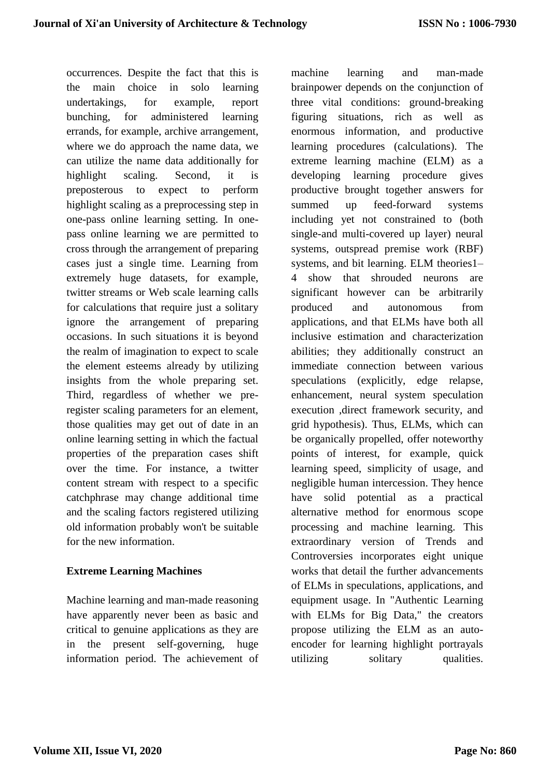occurrences. Despite the fact that this is the main choice in solo learning undertakings, for example, report bunching, for administered learning errands, for example, archive arrangement, where we do approach the name data, we can utilize the name data additionally for highlight scaling. Second, it is preposterous to expect to perform highlight scaling as a preprocessing step in one-pass online learning setting. In onepass online learning we are permitted to cross through the arrangement of preparing cases just a single time. Learning from extremely huge datasets, for example, twitter streams or Web scale learning calls for calculations that require just a solitary ignore the arrangement of preparing occasions. In such situations it is beyond the realm of imagination to expect to scale the element esteems already by utilizing insights from the whole preparing set. Third, regardless of whether we preregister scaling parameters for an element, those qualities may get out of date in an online learning setting in which the factual properties of the preparation cases shift over the time. For instance, a twitter content stream with respect to a specific catchphrase may change additional time and the scaling factors registered utilizing old information probably won't be suitable for the new information.

### **Extreme Learning Machines**

Machine learning and man-made reasoning have apparently never been as basic and critical to genuine applications as they are in the present self-governing, huge information period. The achievement of machine learning and man-made brainpower depends on the conjunction of three vital conditions: ground-breaking figuring situations, rich as well as enormous information, and productive learning procedures (calculations). The extreme learning machine (ELM) as a developing learning procedure gives productive brought together answers for summed up feed-forward systems including yet not constrained to (both single-and multi-covered up layer) neural systems, outspread premise work (RBF) systems, and bit learning. ELM theories1– 4 show that shrouded neurons are significant however can be arbitrarily produced and autonomous from applications, and that ELMs have both all inclusive estimation and characterization abilities; they additionally construct an immediate connection between various speculations (explicitly, edge relapse, enhancement, neural system speculation execution ,direct framework security, and grid hypothesis). Thus, ELMs, which can be organically propelled, offer noteworthy points of interest, for example, quick learning speed, simplicity of usage, and negligible human intercession. They hence have solid potential as a practical alternative method for enormous scope processing and machine learning. This extraordinary version of Trends and Controversies incorporates eight unique works that detail the further advancements of ELMs in speculations, applications, and equipment usage. In "Authentic Learning with ELMs for Big Data," the creators propose utilizing the ELM as an autoencoder for learning highlight portrayals utilizing solitary qualities.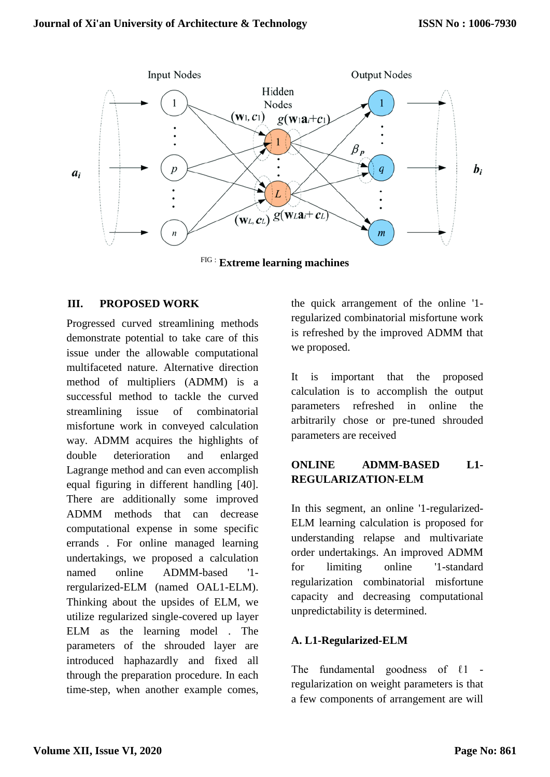

FIG : **Extreme learning machines**

### **III. PROPOSED WORK**

Progressed curved streamlining methods demonstrate potential to take care of this issue under the allowable computational multifaceted nature. Alternative direction method of multipliers (ADMM) is a successful method to tackle the curved streamlining issue of combinatorial misfortune work in conveyed calculation way. ADMM acquires the highlights of double deterioration and enlarged Lagrange method and can even accomplish equal figuring in different handling [40]. There are additionally some improved ADMM methods that can decrease computational expense in some specific errands . For online managed learning undertakings, we proposed a calculation named online ADMM-based '1 rergularized-ELM (named OAL1-ELM). Thinking about the upsides of ELM, we utilize regularized single-covered up layer ELM as the learning model . The parameters of the shrouded layer are introduced haphazardly and fixed all through the preparation procedure. In each time-step, when another example comes,

the quick arrangement of the online '1 regularized combinatorial misfortune work is refreshed by the improved ADMM that we proposed.

It is important that the proposed calculation is to accomplish the output parameters refreshed in online the arbitrarily chose or pre-tuned shrouded parameters are received

# **ONLINE ADMM-BASED L1- REGULARIZATION-ELM**

In this segment, an online '1-regularized-ELM learning calculation is proposed for understanding relapse and multivariate order undertakings. An improved ADMM for limiting online '1-standard regularization combinatorial misfortune capacity and decreasing computational unpredictability is determined.

### **A. L1-Regularized-ELM**

The fundamental goodness of  $l1$  regularization on weight parameters is that a few components of arrangement are will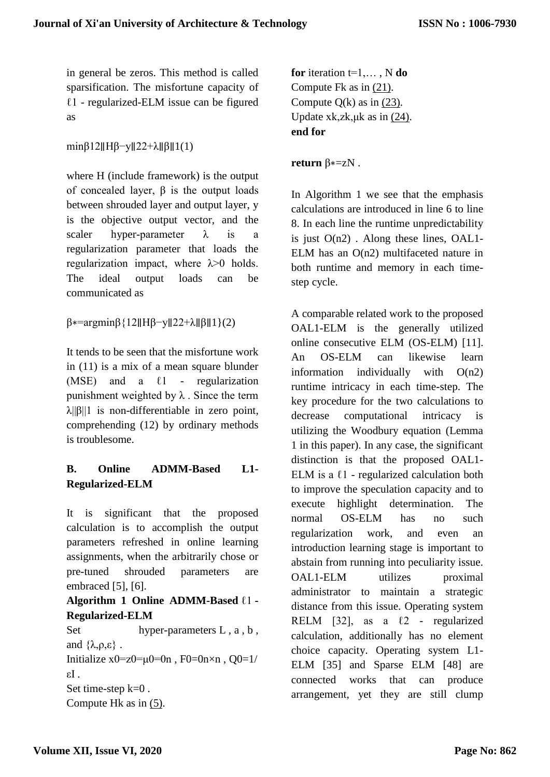in general be zeros. This method is called sparsification. The misfortune capacity of  $l1$  - regularized-ELM issue can be figured as

minβ12∥Hβ−y||22+λ||β||1(1)

where H (include framework) is the output of concealed layer,  $\beta$  is the output loads between shrouded layer and output layer, y is the objective output vector, and the scaler hyper-parameter  $\lambda$  is a regularization parameter that loads the regularization impact, where  $\lambda$  > 0 holds. The ideal output loads can be communicated as

β∗=argminβ{12∥Hβ−y∥22+λ∥β∥1}(2)

It tends to be seen that the misfortune work in (11) is a mix of a mean square blunder (MSE) and a  $\ell$ 1 - regularization punishment weighted by  $\lambda$ . Since the term  $\lambda$ ||β||1 is non-differentiable in zero point, comprehending (12) by ordinary methods is troublesome.

# **B. Online ADMM-Based L1- Regularized-ELM**

It is significant that the proposed calculation is to accomplish the output parameters refreshed in online learning assignments, when the arbitrarily chose or pre-tuned shrouded parameters are embraced [5], [6].

### **Algorithm 1 Online ADMM-Based** ℓ1 **- Regularized-ELM**

Set hyper-parameters L, a, b, and  $\{\lambda, \rho, \varepsilon\}$ . Initialize  $x0=z0=\mu 0=0n$ ,  $F0=0n\times n$ ,  $Q0=1/$ εI . Set time-step k=0 . Compute Hk as in [\(5\).](https://ieeexplore.ieee.org/document/#deqn5)

**for** iteration t=1,… , N **do** Compute Fk as in [\(21\).](https://ieeexplore.ieee.org/document/#deqn21) Compute  $Q(k)$  as in  $(23)$ . Update xk,zk, $\mu$ k as in [\(24\).](https://ieeexplore.ieee.org/document/#deqn24) **end for**

**return** β∗=zN .

In Algorithm 1 we see that the emphasis calculations are introduced in line 6 to line 8. In each line the runtime unpredictability is just  $O(n2)$ . Along these lines,  $OAL1$ -ELM has an O(n2) multifaceted nature in both runtime and memory in each timestep cycle.

A comparable related work to the proposed OAL1-ELM is the generally utilized online consecutive ELM (OS-ELM) [11]. An OS-ELM can likewise learn information individually with O(n2) runtime intricacy in each time-step. The key procedure for the two calculations to decrease computational intricacy is utilizing the Woodbury equation (Lemma 1 in this paper). In any case, the significant distinction is that the proposed OAL1- ELM is a  $\ell$ 1 - regularized calculation both to improve the speculation capacity and to execute highlight determination. The normal OS-ELM has no such regularization work, and even an introduction learning stage is important to abstain from running into peculiarity issue. OAL1-ELM utilizes proximal administrator to maintain a strategic distance from this issue. Operating system RELM [32], as a  $\ell$ 2 - regularized calculation, additionally has no element choice capacity. Operating system L1- ELM [35] and Sparse ELM [48] are connected works that can produce arrangement, yet they are still clump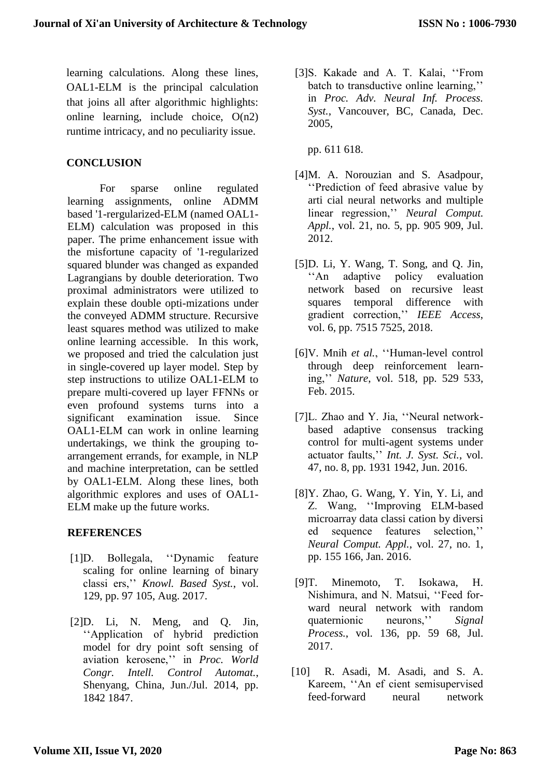learning calculations. Along these lines, OAL1-ELM is the principal calculation that joins all after algorithmic highlights: online learning, include choice, O(n2) runtime intricacy, and no peculiarity issue.

### **CONCLUSION**

For sparse online regulated learning assignments, online ADMM based '1-rergularized-ELM (named OAL1- ELM) calculation was proposed in this paper. The prime enhancement issue with the misfortune capacity of '1-regularized squared blunder was changed as expanded Lagrangians by double deterioration. Two proximal administrators were utilized to explain these double opti-mizations under the conveyed ADMM structure. Recursive least squares method was utilized to make online learning accessible. In this work, we proposed and tried the calculation just in single-covered up layer model. Step by step instructions to utilize OAL1-ELM to prepare multi-covered up layer FFNNs or even profound systems turns into a significant examination issue. Since OAL1-ELM can work in online learning undertakings, we think the grouping toarrangement errands, for example, in NLP and machine interpretation, can be settled by OAL1-ELM. Along these lines, both algorithmic explores and uses of OAL1- ELM make up the future works.

### **REFERENCES**

- [1]D. Bollegala, ''Dynamic feature scaling for online learning of binary classi ers,'' *Knowl. Based Syst.*, vol. 129, pp. 97 105, Aug. 2017.
- [2]D. Li, N. Meng, and Q. Jin, ''Application of hybrid prediction model for dry point soft sensing of aviation kerosene,'' in *Proc. World Congr. Intell. Control Automat.*, Shenyang, China, Jun./Jul. 2014, pp. 1842 1847.

[3]S. Kakade and A. T. Kalai, ''From batch to transductive online learning,'' in *Proc. Adv. Neural Inf. Process. Syst.*, Vancouver, BC, Canada, Dec. 2005,

pp. 611 618.

- [4]M. A. Norouzian and S. Asadpour, ''Prediction of feed abrasive value by arti cial neural networks and multiple linear regression,'' *Neural Comput. Appl.*, vol. 21, no. 5, pp. 905 909, Jul. 2012.
- [5]D. Li, Y. Wang, T. Song, and Q. Jin, ''An adaptive policy evaluation network based on recursive least squares temporal difference with gradient correction,'' *IEEE Access*, vol. 6, pp. 7515 7525, 2018.
- [6]V. Mnih *et al.*, ''Human-level control through deep reinforcement learning,'' *Nature*, vol. 518, pp. 529 533, Feb. 2015.
- [7]L. Zhao and Y. Jia, ''Neural networkbased adaptive consensus tracking control for multi-agent systems under actuator faults,'' *Int. J. Syst. Sci.*, vol. 47, no. 8, pp. 1931 1942, Jun. 2016.
- [8]Y. Zhao, G. Wang, Y. Yin, Y. Li, and Z. Wang, ''Improving ELM-based microarray data classi cation by diversi ed sequence features selection,'' *Neural Comput. Appl.*, vol. 27, no. 1, pp. 155 166, Jan. 2016.
- [9]T. Minemoto, T. Isokawa, H. Nishimura, and N. Matsui, ''Feed forward neural network with random quaternionic neurons,'' *Signal Process.*, vol. 136, pp. 59 68, Jul. 2017.
- [10] R. Asadi, M. Asadi, and S. A. Kareem, ''An ef cient semisupervised feed-forward neural network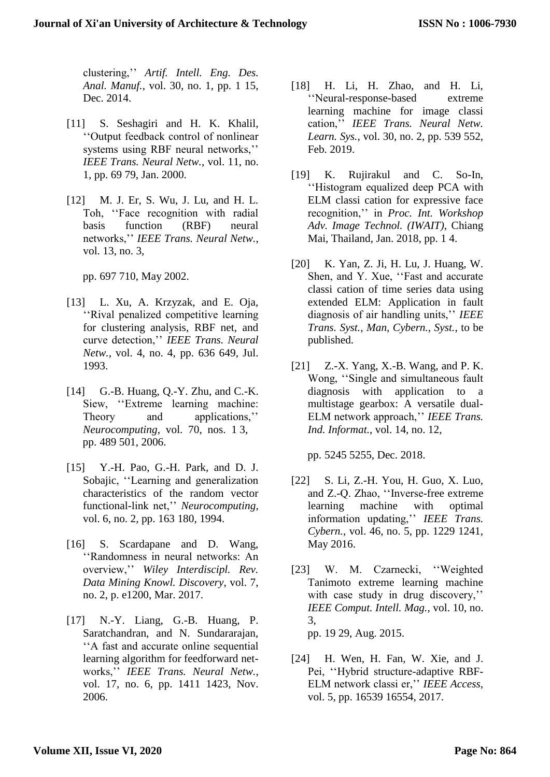clustering,'' *Artif. Intell. Eng. Des. Anal. Manuf.*, vol. 30, no. 1, pp. 1 15, Dec. 2014.

- [11] S. Seshagiri and H. K. Khalil, ''Output feedback control of nonlinear systems using RBF neural networks,'' *IEEE Trans. Neural Netw.*, vol. 11, no. 1, pp. 69 79, Jan. 2000.
- [12] M. J. Er, S. Wu, J. Lu, and H. L. Toh, ''Face recognition with radial basis function (RBF) neural networks,'' *IEEE Trans. Neural Netw.*, vol. 13, no. 3,

pp. 697 710, May 2002.

- [13] L. Xu, A. Krzyzak, and E. Oja, ''Rival penalized competitive learning for clustering analysis, RBF net, and curve detection,'' *IEEE Trans. Neural Netw.*, vol. 4, no. 4, pp. 636 649, Jul. 1993.
- [14] G.-B. Huang, Q.-Y. Zhu, and C.-K. Siew, ''Extreme learning machine: Theory and applications,'' *Neurocomputing*, vol. 70, nos. 1 3, pp. 489 501, 2006.
- [15] Y.-H. Pao, G.-H. Park, and D. J. Sobajic, ''Learning and generalization characteristics of the random vector functional-link net,'' *Neurocomputing*, vol. 6, no. 2, pp. 163 180, 1994.
- [16] S. Scardapane and D. Wang, ''Randomness in neural networks: An overview,'' *Wiley Interdiscipl. Rev. Data Mining Knowl. Discovery*, vol. 7, no. 2, p. e1200, Mar. 2017.
- [17] N.-Y. Liang, G.-B. Huang, P. Saratchandran, and N. Sundararajan, ''A fast and accurate online sequential learning algorithm for feedforward networks,'' *IEEE Trans. Neural Netw.*, vol. 17, no. 6, pp. 1411 1423, Nov. 2006.
- [18] H. Li, H. Zhao, and H. Li, ''Neural-response-based extreme learning machine for image classi cation,'' *IEEE Trans. Neural Netw. Learn. Sys.*, vol. 30, no. 2, pp. 539 552, Feb. 2019.
- [19] K. Rujirakul and C. So-In, ''Histogram equalized deep PCA with ELM classi cation for expressive face recognition,'' in *Proc. Int. Workshop Adv. Image Technol. (IWAIT)*, Chiang Mai, Thailand, Jan. 2018, pp. 1 4.
- [20] K. Yan, Z. Ji, H. Lu, J. Huang, W. Shen, and Y. Xue, ''Fast and accurate classi cation of time series data using extended ELM: Application in fault diagnosis of air handling units,'' *IEEE Trans. Syst., Man, Cybern., Syst.*, to be published.
- [21] Z.-X. Yang, X.-B. Wang, and P. K. Wong, ''Single and simultaneous fault diagnosis with application to a multistage gearbox: A versatile dual-ELM network approach,'' *IEEE Trans. Ind. Informat.*, vol. 14, no. 12,

pp. 5245 5255, Dec. 2018.

- [22] S. Li, Z.-H. You, H. Guo, X. Luo, and Z.-Q. Zhao, ''Inverse-free extreme learning machine with optimal information updating,'' *IEEE Trans. Cybern.*, vol. 46, no. 5, pp. 1229 1241, May 2016.
- [23] W. M. Czarnecki, "Weighted Tanimoto extreme learning machine with case study in drug discovery," *IEEE Comput. Intell. Mag.*, vol. 10, no. 3, pp. 19 29, Aug. 2015.
- [24] H. Wen, H. Fan, W. Xie, and J. Pei, ''Hybrid structure-adaptive RBF-ELM network classi er,'' *IEEE Access*, vol. 5, pp. 16539 16554, 2017.